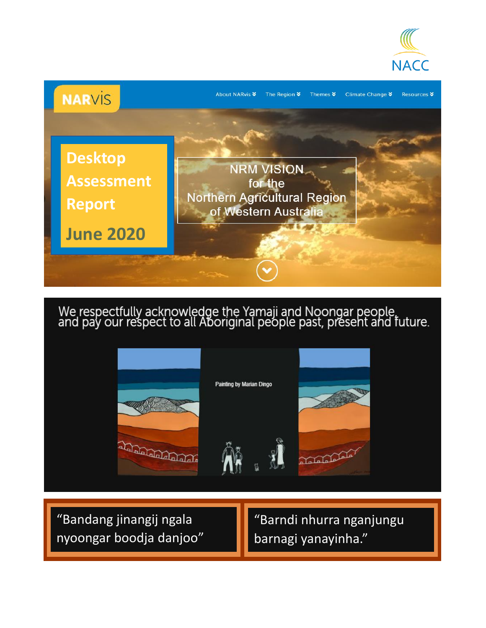



We respectfully acknowledge the Yamaji and Noongar people,<br>and pay our respect to all Aboriginal people past, present and future.







"Bandang jinangij ngala nyoongar boodja danjoo"

"Barndi nhurra nganjungu barnagi yanayinha."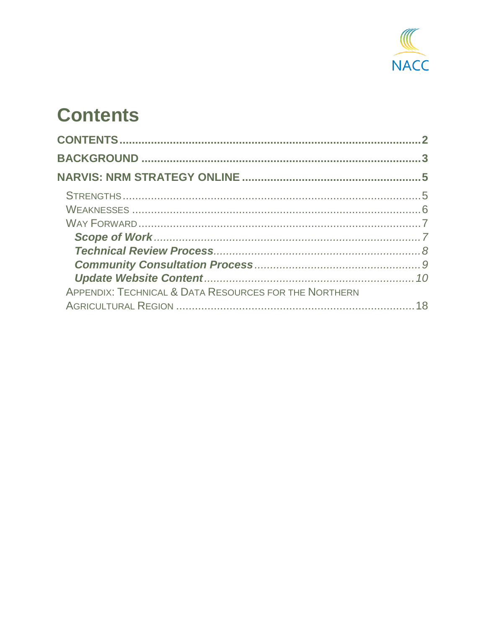

# <span id="page-1-0"></span>**Contents**

| APPENDIX: TECHNICAL & DATA RESOURCES FOR THE NORTHERN |  |
|-------------------------------------------------------|--|
|                                                       |  |
|                                                       |  |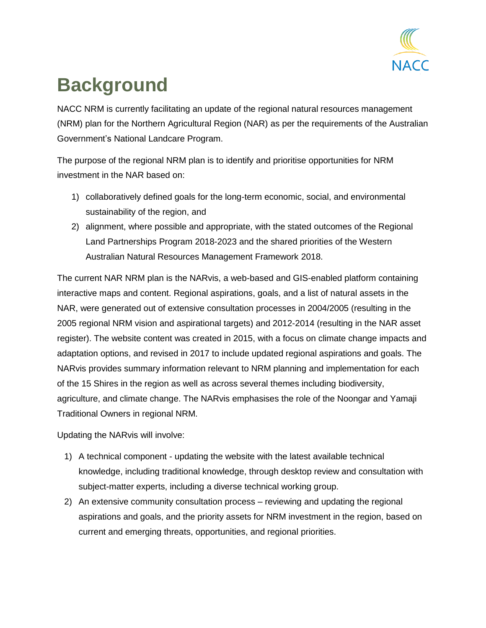

# <span id="page-2-0"></span>**Background**

NACC NRM is currently facilitating an update of the regional natural resources management (NRM) plan for the Northern Agricultural Region (NAR) as per the requirements of the Australian Government's National Landcare Program.

The purpose of the regional NRM plan is to identify and prioritise opportunities for NRM investment in the NAR based on:

- 1) collaboratively defined goals for the long-term economic, social, and environmental sustainability of the region, and
- 2) alignment, where possible and appropriate, with the stated outcomes of the Regional Land Partnerships Program 2018-2023 and the shared priorities of the Western Australian Natural Resources Management Framework 2018.

The current NAR NRM plan is the NARvis, a web-based and GIS-enabled platform containing interactive maps and content. Regional aspirations, goals, and a list of natural assets in the NAR, were generated out of extensive consultation processes in 2004/2005 (resulting in the 2005 regional NRM vision and aspirational targets) and 2012-2014 (resulting in the NAR asset register). The website content was created in 2015, with a focus on climate change impacts and adaptation options, and revised in 2017 to include updated regional aspirations and goals. The NARvis provides summary information relevant to NRM planning and implementation for each of the 15 Shires in the region as well as across several themes including biodiversity, agriculture, and climate change. The NARvis emphasises the role of the Noongar and Yamaji Traditional Owners in regional NRM.

Updating the NARvis will involve:

- 1) A technical component updating the website with the latest available technical knowledge, including traditional knowledge, through desktop review and consultation with subject-matter experts, including a diverse technical working group.
- 2) An extensive community consultation process reviewing and updating the regional aspirations and goals, and the priority assets for NRM investment in the region, based on current and emerging threats, opportunities, and regional priorities.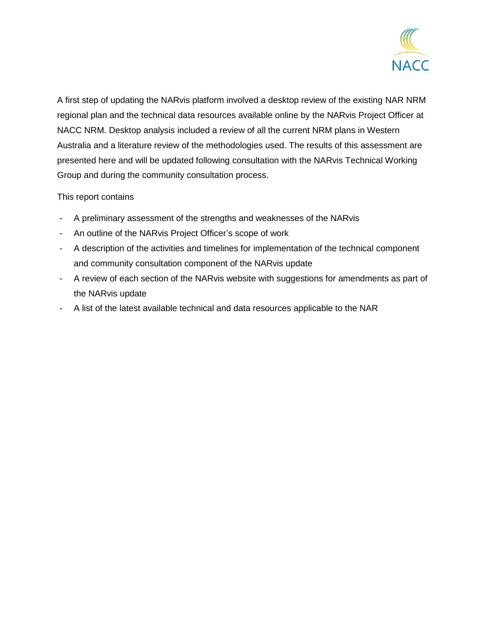

A first step of updating the NARvis platform involved a desktop review of the existing NAR NRM regional plan and the technical data resources available online by the NARvis Project Officer at NACC NRM. Desktop analysis included a review of all the current NRM plans in Western Australia and a literature review of the methodologies used. The results of this assessment are presented here and will be updated following consultation with the NARvis Technical Working Group and during the community consultation process.

#### This report contains

- A preliminary assessment of the strengths and weaknesses of the NARvis
- An outline of the NARvis Project Officer's scope of work
- A description of the activities and timelines for implementation of the technical component and community consultation component of the NARvis update
- A review of each section of the NARvis website with suggestions for amendments as part of the NARvis update
- <span id="page-3-0"></span>- A list of the latest available technical and data resources applicable to the NAR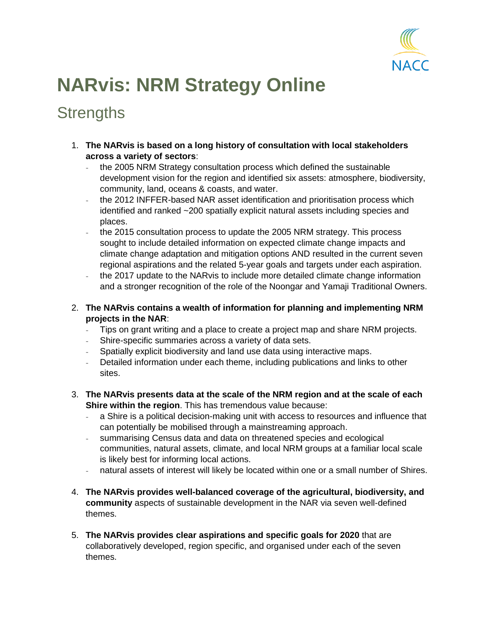

# **NARvis: NRM Strategy Online**

## <span id="page-4-0"></span>**Strengths**

- 1. **The NARvis is based on a long history of consultation with local stakeholders across a variety of sectors**:
	- the 2005 NRM Strategy consultation process which defined the sustainable development vision for the region and identified six assets: atmosphere, biodiversity, community, land, oceans & coasts, and water.
	- the 2012 INFFER-based NAR asset identification and prioritisation process which identified and ranked ~200 spatially explicit natural assets including species and places.
	- the 2015 consultation process to update the 2005 NRM strategy. This process sought to include detailed information on expected climate change impacts and climate change adaptation and mitigation options AND resulted in the current seven regional aspirations and the related 5-year goals and targets under each aspiration.
	- the 2017 update to the NARvis to include more detailed climate change information and a stronger recognition of the role of the Noongar and Yamaji Traditional Owners.
- 2. **The NARvis contains a wealth of information for planning and implementing NRM projects in the NAR**:
	- Tips on grant writing and a place to create a project map and share NRM projects.
	- Shire-specific summaries across a variety of data sets.
	- Spatially explicit biodiversity and land use data using interactive maps.
	- Detailed information under each theme, including publications and links to other sites.
- 3. **The NARvis presents data at the scale of the NRM region and at the scale of each Shire within the region**. This has tremendous value because:
	- a Shire is a political decision-making unit with access to resources and influence that can potentially be mobilised through a mainstreaming approach.
	- summarising Census data and data on threatened species and ecological communities, natural assets, climate, and local NRM groups at a familiar local scale is likely best for informing local actions.
	- natural assets of interest will likely be located within one or a small number of Shires.
- 4. **The NARvis provides well-balanced coverage of the agricultural, biodiversity, and community** aspects of sustainable development in the NAR via seven well-defined themes.
- 5. **The NARvis provides clear aspirations and specific goals for 2020** that are collaboratively developed, region specific, and organised under each of the seven themes.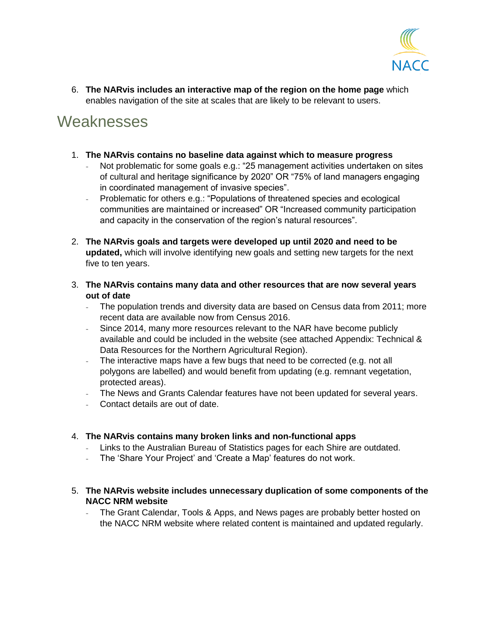

6. **The NARvis includes an interactive map of the region on the home page** which enables navigation of the site at scales that are likely to be relevant to users.

## <span id="page-5-0"></span>**Weaknesses**

- 1. **The NARvis contains no baseline data against which to measure progress** 
	- Not problematic for some goals e.g.: "25 management activities undertaken on sites of cultural and heritage significance by 2020" OR "75% of land managers engaging in coordinated management of invasive species".
	- Problematic for others e.g.: "Populations of threatened species and ecological communities are maintained or increased" OR "Increased community participation and capacity in the conservation of the region's natural resources".
- 2. **The NARvis goals and targets were developed up until 2020 and need to be updated,** which will involve identifying new goals and setting new targets for the next five to ten years.
- 3. **The NARvis contains many data and other resources that are now several years out of date** 
	- The population trends and diversity data are based on Census data from 2011; more recent data are available now from Census 2016.
	- Since 2014, many more resources relevant to the NAR have become publicly available and could be included in the website (see attached Appendix: Technical & Data Resources for the Northern Agricultural Region).
	- The interactive maps have a few bugs that need to be corrected (e.g. not all polygons are labelled) and would benefit from updating (e.g. remnant vegetation, protected areas).
	- The News and Grants Calendar features have not been updated for several years.
	- Contact details are out of date.

#### 4. **The NARvis contains many broken links and non-functional apps**

- Links to the Australian Bureau of Statistics pages for each Shire are outdated.
- The 'Share Your Project' and 'Create a Map' features do not work.
- 5. **The NARvis website includes unnecessary duplication of some components of the NACC NRM website**
	- The Grant Calendar, Tools & Apps, and News pages are probably better hosted on the NACC NRM website where related content is maintained and updated regularly.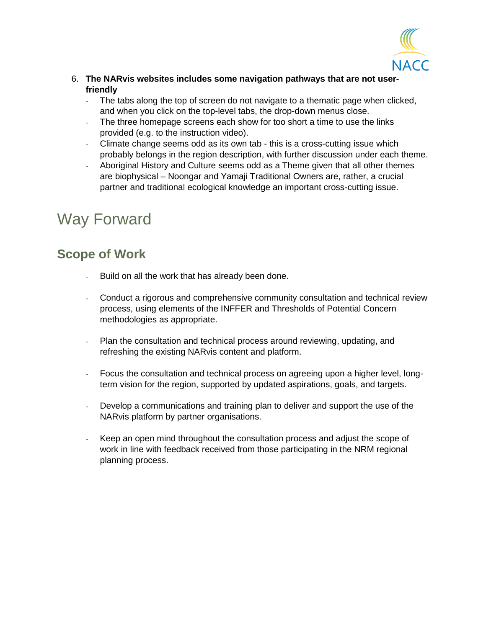

- 6. **The NARvis websites includes some navigation pathways that are not userfriendly** 
	- The tabs along the top of screen do not navigate to a thematic page when clicked, and when you click on the top-level tabs, the drop-down menus close.
	- The three homepage screens each show for too short a time to use the links provided (e.g. to the instruction video).
	- Climate change seems odd as its own tab this is a cross-cutting issue which probably belongs in the region description, with further discussion under each theme.
	- Aboriginal History and Culture seems odd as a Theme given that all other themes are biophysical – Noongar and Yamaji Traditional Owners are, rather, a crucial partner and traditional ecological knowledge an important cross-cutting issue.

# <span id="page-6-0"></span>Way Forward

#### <span id="page-6-1"></span>**Scope of Work**

- Build on all the work that has already been done.
- Conduct a rigorous and comprehensive community consultation and technical review process, using elements of the INFFER and Thresholds of Potential Concern methodologies as appropriate.
- Plan the consultation and technical process around reviewing, updating, and refreshing the existing NARvis content and platform.
- Focus the consultation and technical process on agreeing upon a higher level, longterm vision for the region, supported by updated aspirations, goals, and targets.
- Develop a communications and training plan to deliver and support the use of the NARvis platform by partner organisations.
- Keep an open mind throughout the consultation process and adjust the scope of work in line with feedback received from those participating in the NRM regional planning process.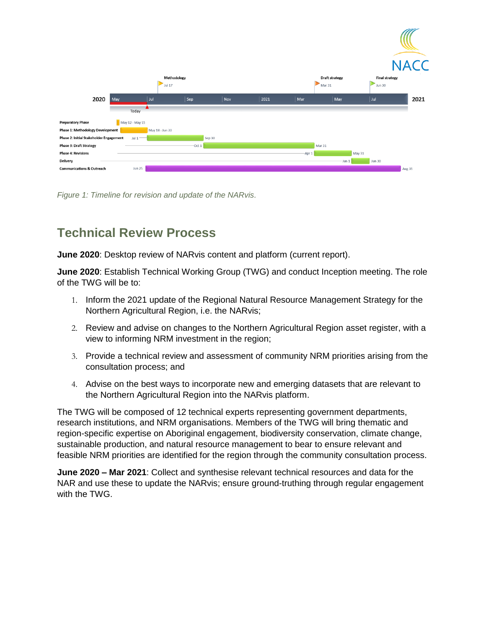|                                         |                 |                       |           |      |        |                                 |                                 | <b>NACC</b> |
|-----------------------------------------|-----------------|-----------------------|-----------|------|--------|---------------------------------|---------------------------------|-------------|
|                                         |                 | Methodology<br>Jul 17 |           |      |        | <b>Draft strategy</b><br>Mar 31 | <b>Final strategy</b><br>Jun 30 |             |
| 2020                                    | May             | Jul<br>$\vert$ Sep    | Nov       | 2021 | Mar    | May                             | Jul                             | 2021        |
|                                         | Today           |                       |           |      |        |                                 |                                 |             |
| <b>Preparatory Phase</b>                | May 12 - May 15 |                       |           |      |        |                                 |                                 |             |
| <b>Phase 1: Methodology Development</b> |                 | May 18 - Jun 30       |           |      |        |                                 |                                 |             |
| Phase 2: Initial Stakeholder Engagement | $Jul$ 1         |                       | Sep 30    |      |        |                                 |                                 |             |
| <b>Phase 3: Draft Strategy</b>          |                 |                       | $-$ Oct 1 |      |        | Mar 31                          |                                 |             |
| <b>Phase 4: Revisions</b>               |                 |                       |           |      | -Apr 1 |                                 | May 31                          |             |
| Delivery                                |                 |                       |           |      |        | -Jun 1                          | <b>Jun 30</b>                   |             |
| <b>Communications &amp; Outreach</b>    | <b>Jun 25</b>   |                       |           |      |        |                                 |                                 | Aug 31      |
|                                         |                 |                       |           |      |        |                                 |                                 |             |

*Figure 1: Timeline for revision and update of the NARvis.*

### <span id="page-7-0"></span>**Technical Review Process**

**June 2020**: Desktop review of NARvis content and platform (current report).

**June 2020**: Establish Technical Working Group (TWG) and conduct Inception meeting. The role of the TWG will be to:

- 1. Inform the 2021 update of the Regional Natural Resource Management Strategy for the Northern Agricultural Region, i.e. the NARvis;
- 2. Review and advise on changes to the Northern Agricultural Region [asset register,](https://www.narvis.com.au/wp-content/uploads/2015/06/NACC-INFFER-workshop_final-report_240712.pdf) with a view to informing NRM investment in the region;
- 3. Provide a technical review and assessment of community NRM priorities arising from the consultation process; and
- 4. Advise on the best ways to incorporate new and emerging datasets that are relevant to the Northern Agricultural Region into the NARvis platform.

The TWG will be composed of 12 technical experts representing government departments, research institutions, and NRM organisations. Members of the TWG will bring thematic and region-specific expertise on Aboriginal engagement, biodiversity conservation, climate change, sustainable production, and natural resource management to bear to ensure relevant and feasible NRM priorities are identified for the region through the community consultation process.

<span id="page-7-1"></span>**June 2020 – Mar 2021**: Collect and synthesise relevant technical resources and data for the NAR and use these to update the NARvis; ensure ground-truthing through regular engagement with the TWG.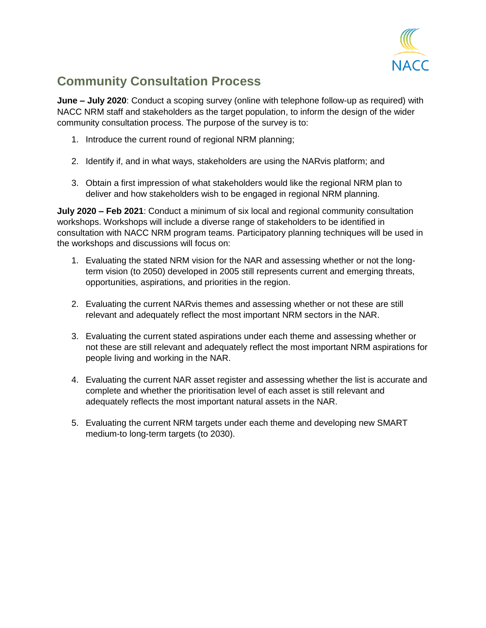

## **Community Consultation Process**

**June – July 2020**: Conduct a scoping survey (online with telephone follow-up as required) with NACC NRM staff and stakeholders as the target population, to inform the design of the wider community consultation process. The purpose of the survey is to:

- 1. Introduce the current round of regional NRM planning;
- 2. Identify if, and in what ways, stakeholders are using the NARvis platform; and
- 3. Obtain a first impression of what stakeholders would like the regional NRM plan to deliver and how stakeholders wish to be engaged in regional NRM planning.

**July 2020 – Feb 2021**: Conduct a minimum of six local and regional community consultation workshops. Workshops will include a diverse range of stakeholders to be identified in consultation with NACC NRM program teams. Participatory planning techniques will be used in the workshops and discussions will focus on:

- 1. Evaluating the stated NRM vision for the NAR and assessing whether or not the longterm vision (to 2050) developed in 2005 still represents current and emerging threats, opportunities, aspirations, and priorities in the region.
- 2. Evaluating the current NARvis themes and assessing whether or not these are still relevant and adequately reflect the most important NRM sectors in the NAR.
- 3. Evaluating the current stated aspirations under each theme and assessing whether or not these are still relevant and adequately reflect the most important NRM aspirations for people living and working in the NAR.
- 4. Evaluating the current NAR asset register and assessing whether the list is accurate and complete and whether the prioritisation level of each asset is still relevant and adequately reflects the most important natural assets in the NAR.
- <span id="page-8-0"></span>5. Evaluating the current NRM targets under each theme and developing new SMART medium-to long-term targets (to 2030).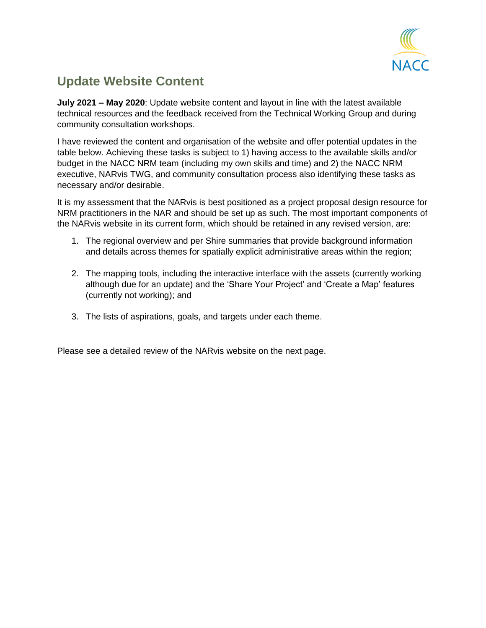

### **Update Website Content**

**July 2021 – May 2020**: Update website content and layout in line with the latest available technical resources and the feedback received from the Technical Working Group and during community consultation workshops.

I have reviewed the content and organisation of the website and offer potential updates in the table below. Achieving these tasks is subject to 1) having access to the available skills and/or budget in the NACC NRM team (including my own skills and time) and 2) the NACC NRM executive, NARvis TWG, and community consultation process also identifying these tasks as necessary and/or desirable.

It is my assessment that the NARvis is best positioned as a project proposal design resource for NRM practitioners in the NAR and should be set up as such. The most important components of the NARvis website in its current form, which should be retained in any revised version, are:

- 1. The regional overview and per Shire summaries that provide background information and details across themes for spatially explicit administrative areas within the region;
- 2. The mapping tools, including the interactive interface with the assets (currently working although due for an update) and the 'Share Your Project' and 'Create a Map' features (currently not working); and
- 3. The lists of aspirations, goals, and targets under each theme.

Please see a detailed review of the NARvis website on the next page.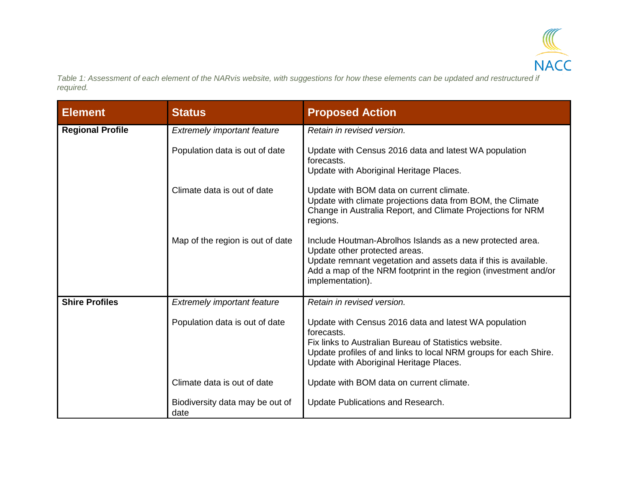

*Table 1: Assessment of each element of the NARvis website, with suggestions for how these elements can be updated and restructured if required.* 

| <b>Element</b>          | <b>Status</b>                           | <b>Proposed Action</b>                                                                                                                                                                                                                               |
|-------------------------|-----------------------------------------|------------------------------------------------------------------------------------------------------------------------------------------------------------------------------------------------------------------------------------------------------|
| <b>Regional Profile</b> | <b>Extremely important feature</b>      | Retain in revised version.                                                                                                                                                                                                                           |
|                         | Population data is out of date          | Update with Census 2016 data and latest WA population<br>forecasts.<br>Update with Aboriginal Heritage Places.                                                                                                                                       |
|                         | Climate data is out of date             | Update with BOM data on current climate.<br>Update with climate projections data from BOM, the Climate<br>Change in Australia Report, and Climate Projections for NRM<br>regions.                                                                    |
|                         | Map of the region is out of date        | Include Houtman-Abrolhos Islands as a new protected area.<br>Update other protected areas.<br>Update remnant vegetation and assets data if this is available.<br>Add a map of the NRM footprint in the region (investment and/or<br>implementation). |
| <b>Shire Profiles</b>   | Extremely important feature             | Retain in revised version.                                                                                                                                                                                                                           |
|                         | Population data is out of date          | Update with Census 2016 data and latest WA population<br>forecasts.<br>Fix links to Australian Bureau of Statistics website.<br>Update profiles of and links to local NRM groups for each Shire.<br>Update with Aboriginal Heritage Places.          |
|                         | Climate data is out of date             | Update with BOM data on current climate.                                                                                                                                                                                                             |
|                         | Biodiversity data may be out of<br>date | Update Publications and Research.                                                                                                                                                                                                                    |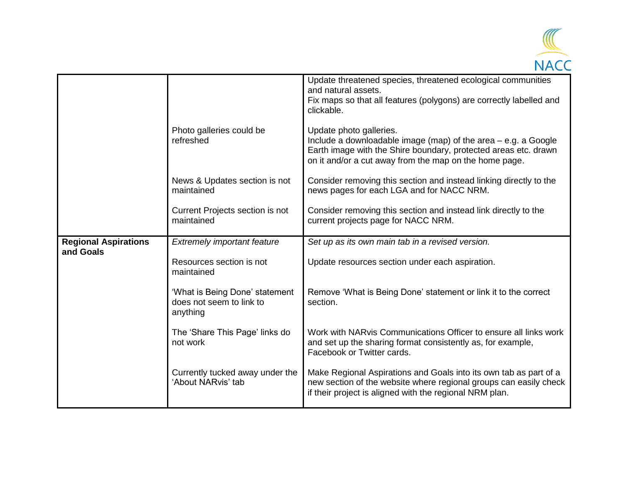

|                                          |                                                                        | Update threatened species, threatened ecological communities<br>and natural assets.<br>Fix maps so that all features (polygons) are correctly labelled and<br>clickable.                                               |
|------------------------------------------|------------------------------------------------------------------------|------------------------------------------------------------------------------------------------------------------------------------------------------------------------------------------------------------------------|
|                                          | Photo galleries could be<br>refreshed                                  | Update photo galleries.<br>Include a downloadable image (map) of the area - e.g. a Google<br>Earth image with the Shire boundary, protected areas etc. drawn<br>on it and/or a cut away from the map on the home page. |
|                                          | News & Updates section is not<br>maintained                            | Consider removing this section and instead linking directly to the<br>news pages for each LGA and for NACC NRM.                                                                                                        |
|                                          | Current Projects section is not<br>maintained                          | Consider removing this section and instead link directly to the<br>current projects page for NACC NRM.                                                                                                                 |
| <b>Regional Aspirations</b><br>and Goals | <b>Extremely important feature</b>                                     | Set up as its own main tab in a revised version.                                                                                                                                                                       |
|                                          | Resources section is not<br>maintained                                 | Update resources section under each aspiration.                                                                                                                                                                        |
|                                          | 'What is Being Done' statement<br>does not seem to link to<br>anything | Remove 'What is Being Done' statement or link it to the correct<br>section.                                                                                                                                            |
|                                          | The 'Share This Page' links do<br>not work                             | Work with NARvis Communications Officer to ensure all links work<br>and set up the sharing format consistently as, for example,<br>Facebook or Twitter cards.                                                          |
|                                          | Currently tucked away under the<br>'About NARvis' tab                  | Make Regional Aspirations and Goals into its own tab as part of a<br>new section of the website where regional groups can easily check<br>if their project is aligned with the regional NRM plan.                      |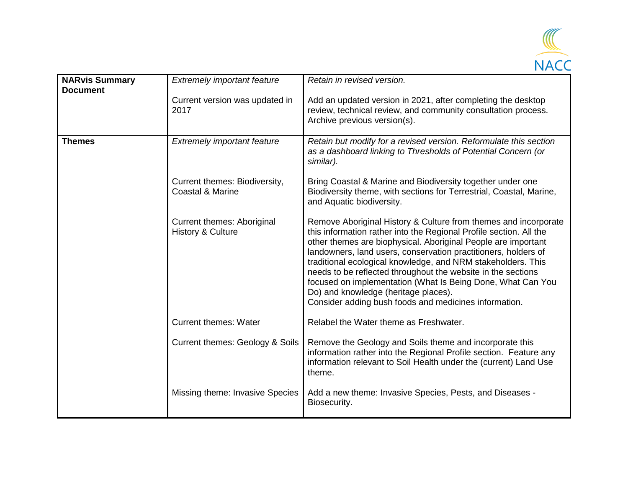

| <b>NARvis Summary</b><br><b>Document</b> | <b>Extremely important feature</b>                           | Retain in revised version.                                                                                                                                                                                                                                                                                                                                                                                                                                                                                                                                               |
|------------------------------------------|--------------------------------------------------------------|--------------------------------------------------------------------------------------------------------------------------------------------------------------------------------------------------------------------------------------------------------------------------------------------------------------------------------------------------------------------------------------------------------------------------------------------------------------------------------------------------------------------------------------------------------------------------|
|                                          | Current version was updated in<br>2017                       | Add an updated version in 2021, after completing the desktop<br>review, technical review, and community consultation process.<br>Archive previous version(s).                                                                                                                                                                                                                                                                                                                                                                                                            |
| <b>Themes</b>                            | <b>Extremely important feature</b>                           | Retain but modify for a revised version. Reformulate this section<br>as a dashboard linking to Thresholds of Potential Concern (or<br>similar).                                                                                                                                                                                                                                                                                                                                                                                                                          |
|                                          | Current themes: Biodiversity,<br><b>Coastal &amp; Marine</b> | Bring Coastal & Marine and Biodiversity together under one<br>Biodiversity theme, with sections for Terrestrial, Coastal, Marine,<br>and Aquatic biodiversity.                                                                                                                                                                                                                                                                                                                                                                                                           |
|                                          | Current themes: Aboriginal<br><b>History &amp; Culture</b>   | Remove Aboriginal History & Culture from themes and incorporate<br>this information rather into the Regional Profile section. All the<br>other themes are biophysical. Aboriginal People are important<br>landowners, land users, conservation practitioners, holders of<br>traditional ecological knowledge, and NRM stakeholders. This<br>needs to be reflected throughout the website in the sections<br>focused on implementation (What Is Being Done, What Can You<br>Do) and knowledge (heritage places).<br>Consider adding bush foods and medicines information. |
|                                          | <b>Current themes: Water</b>                                 | Relabel the Water theme as Freshwater.                                                                                                                                                                                                                                                                                                                                                                                                                                                                                                                                   |
|                                          | Current themes: Geology & Soils                              | Remove the Geology and Soils theme and incorporate this<br>information rather into the Regional Profile section. Feature any<br>information relevant to Soil Health under the (current) Land Use<br>theme.                                                                                                                                                                                                                                                                                                                                                               |
|                                          | Missing theme: Invasive Species                              | Add a new theme: Invasive Species, Pests, and Diseases -<br>Biosecurity.                                                                                                                                                                                                                                                                                                                                                                                                                                                                                                 |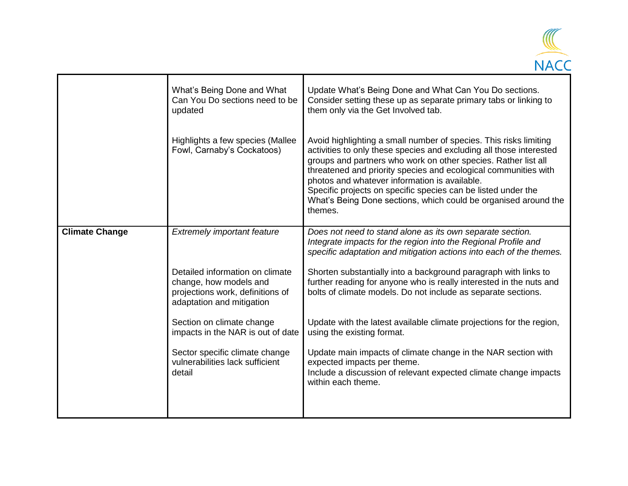

|                       | What's Being Done and What<br>Can You Do sections need to be<br>updated                                                    | Update What's Being Done and What Can You Do sections.<br>Consider setting these up as separate primary tabs or linking to<br>them only via the Get Involved tab.                                                                                                                                                                                                                                                                                                             |
|-----------------------|----------------------------------------------------------------------------------------------------------------------------|-------------------------------------------------------------------------------------------------------------------------------------------------------------------------------------------------------------------------------------------------------------------------------------------------------------------------------------------------------------------------------------------------------------------------------------------------------------------------------|
|                       | Highlights a few species (Mallee<br>Fowl, Carnaby's Cockatoos)                                                             | Avoid highlighting a small number of species. This risks limiting<br>activities to only these species and excluding all those interested<br>groups and partners who work on other species. Rather list all<br>threatened and priority species and ecological communities with<br>photos and whatever information is available.<br>Specific projects on specific species can be listed under the<br>What's Being Done sections, which could be organised around the<br>themes. |
| <b>Climate Change</b> | <b>Extremely important feature</b>                                                                                         | Does not need to stand alone as its own separate section.<br>Integrate impacts for the region into the Regional Profile and<br>specific adaptation and mitigation actions into each of the themes.                                                                                                                                                                                                                                                                            |
|                       | Detailed information on climate<br>change, how models and<br>projections work, definitions of<br>adaptation and mitigation | Shorten substantially into a background paragraph with links to<br>further reading for anyone who is really interested in the nuts and<br>bolts of climate models. Do not include as separate sections.                                                                                                                                                                                                                                                                       |
|                       | Section on climate change<br>impacts in the NAR is out of date                                                             | Update with the latest available climate projections for the region,<br>using the existing format.                                                                                                                                                                                                                                                                                                                                                                            |
|                       | Sector specific climate change<br>vulnerabilities lack sufficient<br>detail                                                | Update main impacts of climate change in the NAR section with<br>expected impacts per theme.<br>Include a discussion of relevant expected climate change impacts<br>within each theme.                                                                                                                                                                                                                                                                                        |
|                       |                                                                                                                            |                                                                                                                                                                                                                                                                                                                                                                                                                                                                               |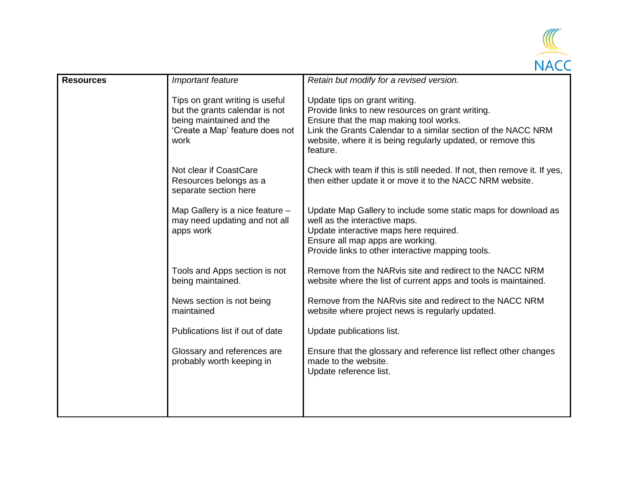

| <b>Resources</b> | Important feature                                                                                                                        | Retain but modify for a revised version.                                                                                                                                                                                                                                 |
|------------------|------------------------------------------------------------------------------------------------------------------------------------------|--------------------------------------------------------------------------------------------------------------------------------------------------------------------------------------------------------------------------------------------------------------------------|
|                  | Tips on grant writing is useful<br>but the grants calendar is not<br>being maintained and the<br>'Create a Map' feature does not<br>work | Update tips on grant writing.<br>Provide links to new resources on grant writing.<br>Ensure that the map making tool works.<br>Link the Grants Calendar to a similar section of the NACC NRM<br>website, where it is being regularly updated, or remove this<br>feature. |
|                  | Not clear if CoastCare<br>Resources belongs as a<br>separate section here                                                                | Check with team if this is still needed. If not, then remove it. If yes,<br>then either update it or move it to the NACC NRM website.                                                                                                                                    |
|                  | Map Gallery is a nice feature -<br>may need updating and not all<br>apps work                                                            | Update Map Gallery to include some static maps for download as<br>well as the interactive maps.<br>Update interactive maps here required.<br>Ensure all map apps are working.<br>Provide links to other interactive mapping tools.                                       |
|                  | Tools and Apps section is not<br>being maintained.                                                                                       | Remove from the NARvis site and redirect to the NACC NRM<br>website where the list of current apps and tools is maintained.                                                                                                                                              |
|                  | News section is not being<br>maintained                                                                                                  | Remove from the NARvis site and redirect to the NACC NRM<br>website where project news is regularly updated.                                                                                                                                                             |
|                  | Publications list if out of date                                                                                                         | Update publications list.                                                                                                                                                                                                                                                |
|                  | Glossary and references are<br>probably worth keeping in                                                                                 | Ensure that the glossary and reference list reflect other changes<br>made to the website.<br>Update reference list.                                                                                                                                                      |
|                  |                                                                                                                                          |                                                                                                                                                                                                                                                                          |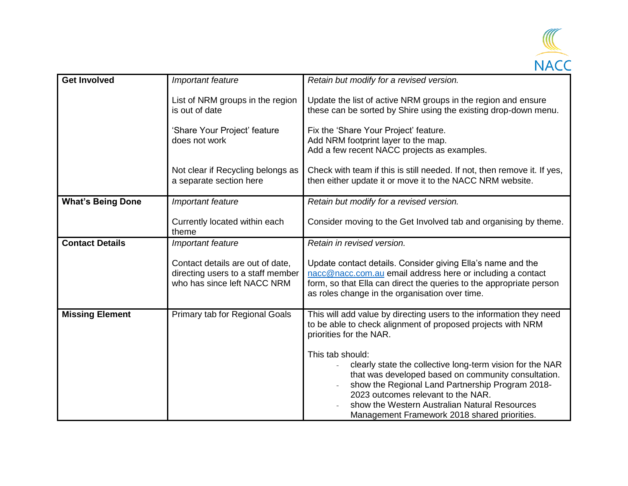

| <b>Get Involved</b>      | Important feature                                                                                    | Retain but modify for a revised version.                                                                                                                                                                                                                                                                                        |
|--------------------------|------------------------------------------------------------------------------------------------------|---------------------------------------------------------------------------------------------------------------------------------------------------------------------------------------------------------------------------------------------------------------------------------------------------------------------------------|
|                          | List of NRM groups in the region<br>is out of date                                                   | Update the list of active NRM groups in the region and ensure<br>these can be sorted by Shire using the existing drop-down menu.                                                                                                                                                                                                |
|                          | 'Share Your Project' feature<br>does not work                                                        | Fix the 'Share Your Project' feature.<br>Add NRM footprint layer to the map.<br>Add a few recent NACC projects as examples.                                                                                                                                                                                                     |
|                          | Not clear if Recycling belongs as<br>a separate section here                                         | Check with team if this is still needed. If not, then remove it. If yes,<br>then either update it or move it to the NACC NRM website.                                                                                                                                                                                           |
| <b>What's Being Done</b> | Important feature                                                                                    | Retain but modify for a revised version.                                                                                                                                                                                                                                                                                        |
|                          | Currently located within each<br>theme                                                               | Consider moving to the Get Involved tab and organising by theme.                                                                                                                                                                                                                                                                |
| <b>Contact Details</b>   | Important feature                                                                                    | Retain in revised version.                                                                                                                                                                                                                                                                                                      |
|                          | Contact details are out of date,<br>directing users to a staff member<br>who has since left NACC NRM | Update contact details. Consider giving Ella's name and the<br>nacc@nacc.com.au email address here or including a contact<br>form, so that Ella can direct the queries to the appropriate person<br>as roles change in the organisation over time.                                                                              |
| <b>Missing Element</b>   | Primary tab for Regional Goals                                                                       | This will add value by directing users to the information they need<br>to be able to check alignment of proposed projects with NRM<br>priorities for the NAR.                                                                                                                                                                   |
|                          |                                                                                                      | This tab should:<br>clearly state the collective long-term vision for the NAR<br>that was developed based on community consultation.<br>show the Regional Land Partnership Program 2018-<br>2023 outcomes relevant to the NAR.<br>show the Western Australian Natural Resources<br>Management Framework 2018 shared priorities. |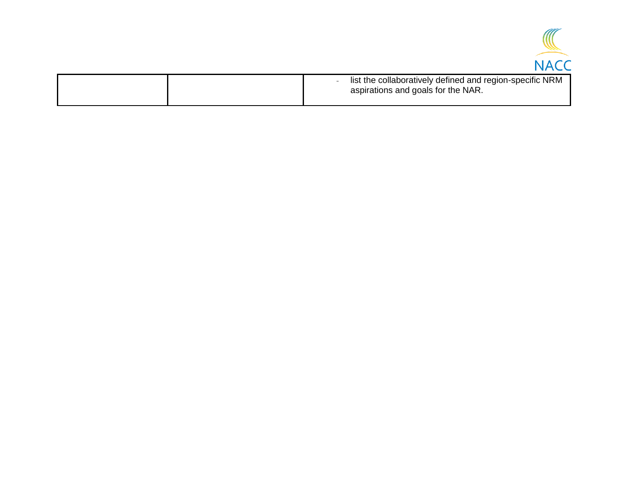

| list the collaboratively defined and region-specific NRM<br>aspirations and goals for the NAR. |
|------------------------------------------------------------------------------------------------|
|                                                                                                |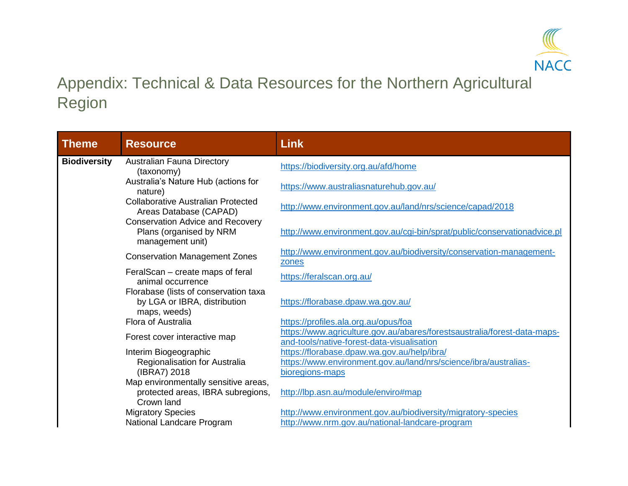

# Appendix: Technical & Data Resources for the Northern Agricultural Region

<span id="page-17-0"></span>

| <b>Theme</b>                                                                                                                                   | <b>Resource</b>                                                                         | <b>Link</b>                                                                                                            |
|------------------------------------------------------------------------------------------------------------------------------------------------|-----------------------------------------------------------------------------------------|------------------------------------------------------------------------------------------------------------------------|
| <b>Biodiversity</b>                                                                                                                            | <b>Australian Fauna Directory</b><br>(taxonomy)                                         | https://biodiversity.org.au/afd/home                                                                                   |
|                                                                                                                                                | Australia's Nature Hub (actions for<br>nature)                                          | https://www.australiasnaturehub.gov.au/                                                                                |
|                                                                                                                                                | <b>Collaborative Australian Protected</b><br>Areas Database (CAPAD)                     | http://www.environment.gov.au/land/nrs/science/capad/2018                                                              |
|                                                                                                                                                | <b>Conservation Advice and Recovery</b><br>Plans (organised by NRM<br>management unit)  | http://www.environment.gov.au/cgi-bin/sprat/public/conservationadvice.pl                                               |
|                                                                                                                                                | <b>Conservation Management Zones</b>                                                    | http://www.environment.gov.au/biodiversity/conservation-management-<br>zones                                           |
| FeralScan – create maps of feral<br>animal occurrence<br>Florabase (lists of conservation taxa<br>by LGA or IBRA, distribution<br>maps, weeds) | https://feralscan.org.au/                                                               |                                                                                                                        |
|                                                                                                                                                |                                                                                         | https://florabase.dpaw.wa.gov.au/                                                                                      |
|                                                                                                                                                | Flora of Australia                                                                      | https://profiles.ala.org.au/opus/foa                                                                                   |
|                                                                                                                                                | Forest cover interactive map                                                            | https://www.agriculture.gov.au/abares/forestsaustralia/forest-data-maps-<br>and-tools/native-forest-data-visualisation |
|                                                                                                                                                | Interim Biogeographic                                                                   | https://florabase.dpaw.wa.gov.au/help/ibra/                                                                            |
|                                                                                                                                                | Regionalisation for Australia<br>(IBRA7) 2018                                           | https://www.environment.gov.au/land/nrs/science/ibra/australias-<br>bioregions-maps                                    |
|                                                                                                                                                | Map environmentally sensitive areas,<br>protected areas, IBRA subregions,<br>Crown land | http://lbp.asn.au/module/enviro#map                                                                                    |
|                                                                                                                                                | <b>Migratory Species</b>                                                                | http://www.environment.gov.au/biodiversity/migratory-species                                                           |
|                                                                                                                                                | National Landcare Program                                                               | http://www.nrm.gov.au/national-landcare-program                                                                        |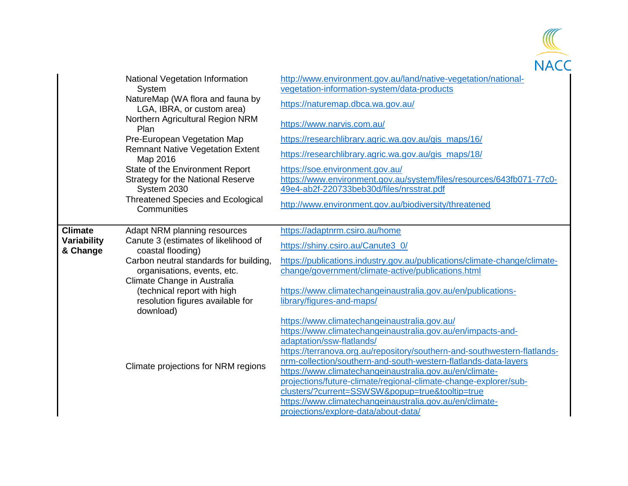

|                         | National Vegetation Information<br>System<br>NatureMap (WA flora and fauna by | http://www.environment.gov.au/land/native-vegetation/national-<br>vegetation-information-system/data-products                               |
|-------------------------|-------------------------------------------------------------------------------|---------------------------------------------------------------------------------------------------------------------------------------------|
|                         | LGA, IBRA, or custom area)                                                    | https://naturemap.dbca.wa.gov.au/                                                                                                           |
|                         | Northern Agricultural Region NRM<br>Plan                                      | https://www.narvis.com.au/                                                                                                                  |
|                         | Pre-European Vegetation Map                                                   | https://researchlibrary.agric.wa.gov.au/gis maps/16/                                                                                        |
|                         | <b>Remnant Native Vegetation Extent</b><br>Map 2016                           | https://researchlibrary.agric.wa.gov.au/gis_maps/18/                                                                                        |
|                         | State of the Environment Report                                               | https://soe.environment.gov.au/                                                                                                             |
|                         | <b>Strategy for the National Reserve</b><br>System 2030                       | https://www.environment.gov.au/system/files/resources/643fb071-77c0-<br>49e4-ab2f-220733beb30d/files/nrsstrat.pdf                           |
|                         | <b>Threatened Species and Ecological</b><br>Communities                       | http://www.environment.gov.au/biodiversity/threatened                                                                                       |
| <b>Climate</b>          | Adapt NRM planning resources                                                  | https://adaptnrm.csiro.au/home                                                                                                              |
| Variability<br>& Change | Canute 3 (estimates of likelihood of<br>coastal flooding)                     | https://shiny.csiro.au/Canute3_0/                                                                                                           |
|                         | Carbon neutral standards for building,                                        | https://publications.industry.gov.au/publications/climate-change/climate-                                                                   |
|                         | organisations, events, etc.<br>Climate Change in Australia                    | change/government/climate-active/publications.html                                                                                          |
|                         | (technical report with high                                                   | https://www.climatechangeinaustralia.gov.au/en/publications-                                                                                |
|                         | resolution figures available for<br>download)                                 | library/figures-and-maps/                                                                                                                   |
|                         |                                                                               | https://www.climatechangeinaustralia.gov.au/                                                                                                |
|                         |                                                                               | https://www.climatechangeinaustralia.gov.au/en/impacts-and-                                                                                 |
|                         |                                                                               | adaptation/ssw-flatlands/                                                                                                                   |
|                         |                                                                               | https://terranova.org.au/repository/southern-and-southwestern-flatlands-<br>nrm-collection/southern-and-south-western-flatlands-data-layers |
|                         | Climate projections for NRM regions                                           | https://www.climatechangeinaustralia.gov.au/en/climate-                                                                                     |
|                         |                                                                               | projections/future-climate/regional-climate-change-explorer/sub-                                                                            |
|                         |                                                                               | clusters/?current=SSWSW&popup=true&tooltip=true                                                                                             |
|                         |                                                                               | https://www.climatechangeinaustralia.gov.au/en/climate-                                                                                     |
|                         |                                                                               | projections/explore-data/about-data/                                                                                                        |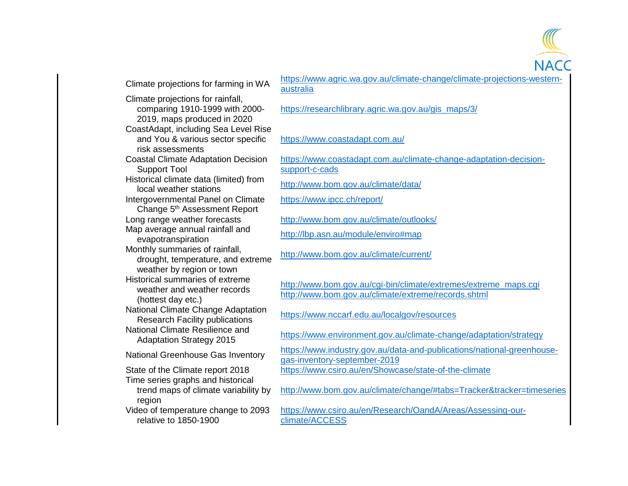Climate projections for farming in WA [https://www.agric.wa.gov.au/climate-change/climate-projections-western-](https://www.agric.wa.gov.au/climate-change/climate-projections-western-australia)Climate projections for rainfall, comparing 1910-1999 with 2000- 2019, maps produced in 2020 CoastAdapt, including Sea Level Rise and You & various sector specific risk assessments Coastal Climate Adaptation Decision Support Tool Historical climate data (limited) from Intergovernmental Panel on Climate Change 5<sup>th</sup> Assessment Report Map average annual rainfall and Monthly summaries of rainfall, drought, temperature, and extreme weather by region or town Historical summaries of extreme weather and weather records (hottest day etc.) National Climate Change Adaptation National Climate Resilience and Time series graphs and historical trend maps of climate variability by region Video of temperature change to 2093 relative to 1850-1900

[australia](https://www.agric.wa.gov.au/climate-change/climate-projections-western-australia) [https://researchlibrary.agric.wa.gov.au/gis\\_maps/3/](https://researchlibrary.agric.wa.gov.au/gis_maps/3/) <https://www.coastadapt.com.au/> [https://www.coastadapt.com.au/climate-change-adaptation-decision](https://www.coastadapt.com.au/climate-change-adaptation-decision-support-c-cads)[support-c-cads](https://www.coastadapt.com.au/climate-change-adaptation-decision-support-c-cads) local climate data (limited) home <http://www.bom.gov.au/climate/data/><br>local weather stations <https://www.ipcc.ch/report/> Long range weather forecasts <http://www.bom.gov.au/climate/outlooks/> p average annual rannal and<br>evapotranspiration <http://lbp.asn.au/module/enviro#map> <http://www.bom.gov.au/climate/current/> [http://www.bom.gov.au/cgi-bin/climate/extremes/extreme\\_maps.cgi](http://www.bom.gov.au/cgi-bin/climate/extremes/extreme_maps.cgi) <http://www.bom.gov.au/climate/extreme/records.shtml> Research Facility publications <https://www.nccarf.edu.au/localgov/resources> Adaptation Strategy 2015 <https://www.environment.gov.au/climate-change/adaptation/strategy><br>Adaptation Strategy 2015 National Greenhouse Gas Inventory [https://www.industry.gov.au/data-and-publications/national-greenhouse](https://www.industry.gov.au/data-and-publications/national-greenhouse-gas-inventory-september-2019)[gas-inventory-september-2019](https://www.industry.gov.au/data-and-publications/national-greenhouse-gas-inventory-september-2019) State of the Climate report 2018 <https://www.csiro.au/en/Showcase/state-of-the-climate> <http://www.bom.gov.au/climate/change/#tabs=Tracker&tracker=timeseries> [https://www.csiro.au/en/Research/OandA/Areas/Assessing-our](https://www.csiro.au/en/Research/OandA/Areas/Assessing-our-climate/ACCESS)[climate/ACCESS](https://www.csiro.au/en/Research/OandA/Areas/Assessing-our-climate/ACCESS)

**NACC**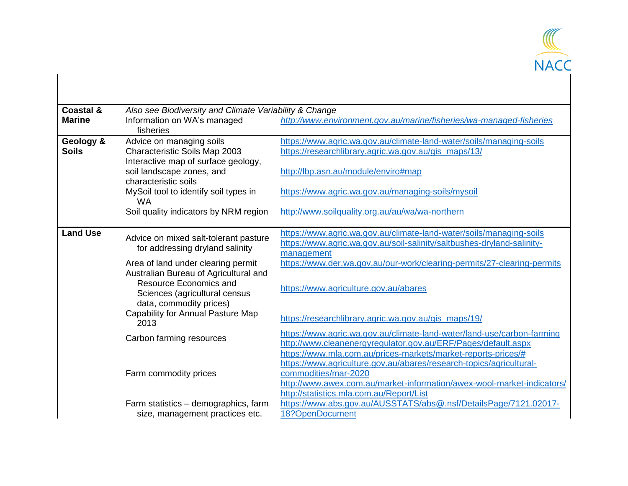

| <b>Coastal &amp;</b><br><b>Marine</b> | Also see Biodiversity and Climate Variability & Change<br>Information on WA's managed<br>fisheries                                                                                                                                                                                                                     | http://www.environment.gov.au/marine/fisheries/wa-managed-fisheries                                                                                                                                                                                                                                                                                                                                                                                                                |
|---------------------------------------|------------------------------------------------------------------------------------------------------------------------------------------------------------------------------------------------------------------------------------------------------------------------------------------------------------------------|------------------------------------------------------------------------------------------------------------------------------------------------------------------------------------------------------------------------------------------------------------------------------------------------------------------------------------------------------------------------------------------------------------------------------------------------------------------------------------|
| Geology &<br><b>Soils</b>             | Advice on managing soils<br>Characteristic Soils Map 2003<br>Interactive map of surface geology,<br>soil landscape zones, and<br>characteristic soils<br>MySoil tool to identify soil types in<br><b>WA</b><br>Soil quality indicators by NRM region                                                                   | https://www.agric.wa.gov.au/climate-land-water/soils/managing-soils<br>https://researchlibrary.agric.wa.gov.au/gis_maps/13/<br>http://lbp.asn.au/module/enviro#map<br>https://www.agric.wa.gov.au/managing-soils/mysoil<br>http://www.soilquality.org.au/au/wa/wa-northern                                                                                                                                                                                                         |
| <b>Land Use</b>                       | Advice on mixed salt-tolerant pasture<br>for addressing dryland salinity<br>Area of land under clearing permit<br>Australian Bureau of Agricultural and<br>Resource Economics and<br>Sciences (agricultural census<br>data, commodity prices)<br>Capability for Annual Pasture Map<br>2013<br>Carbon farming resources | https://www.agric.wa.gov.au/climate-land-water/soils/managing-soils<br>https://www.agric.wa.gov.au/soil-salinity/saltbushes-dryland-salinity-<br>management<br>https://www.der.wa.gov.au/our-work/clearing-permits/27-clearing-permits<br>https://www.agriculture.gov.au/abares<br>https://researchlibrary.agric.wa.gov.au/gis maps/19/<br>https://www.agric.wa.gov.au/climate-land-water/land-use/carbon-farming<br>http://www.cleanenergyregulator.gov.au/ERF/Pages/default.aspx |
|                                       | Farm commodity prices<br>Farm statistics - demographics, farm<br>size, management practices etc.                                                                                                                                                                                                                       | https://www.mla.com.au/prices-markets/market-reports-prices/#<br>https://www.agriculture.gov.au/abares/research-topics/agricultural-<br>commodities/mar-2020<br>http://www.awex.com.au/market-information/awex-wool-market-indicators/<br>http://statistics.mla.com.au/Report/List<br>https://www.abs.gov.au/AUSSTATS/abs@.nsf/DetailsPage/7121.02017-<br>18?OpenDocument                                                                                                          |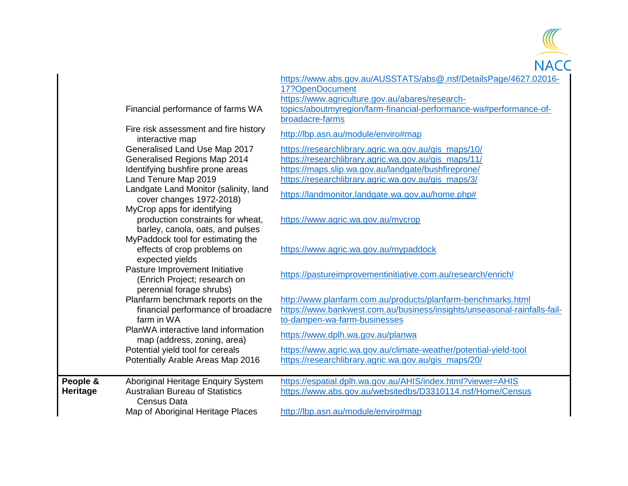

|                 |                                                                                                      | https://www.abs.gov.au/AUSSTATS/abs@.nsf/DetailsPage/4627.02016-                                                                                                         |
|-----------------|------------------------------------------------------------------------------------------------------|--------------------------------------------------------------------------------------------------------------------------------------------------------------------------|
|                 |                                                                                                      | 17?OpenDocument                                                                                                                                                          |
|                 |                                                                                                      | https://www.agriculture.gov.au/abares/research-                                                                                                                          |
|                 | Financial performance of farms WA                                                                    | topics/aboutmyregion/farm-financial-performance-wa#performance-of-                                                                                                       |
|                 |                                                                                                      | broadacre-farms                                                                                                                                                          |
|                 | Fire risk assessment and fire history<br>interactive map                                             | http://lbp.asn.au/module/enviro#map                                                                                                                                      |
|                 | Generalised Land Use Map 2017                                                                        | https://researchlibrary.agric.wa.gov.au/gis_maps/10/                                                                                                                     |
|                 | Generalised Regions Map 2014                                                                         | https://researchlibrary.agric.wa.gov.au/gis_maps/11/                                                                                                                     |
|                 | Identifying bushfire prone areas                                                                     | https://maps.slip.wa.gov.au/landgate/bushfireprone/                                                                                                                      |
|                 | Land Tenure Map 2019                                                                                 | https://researchlibrary.agric.wa.gov.au/gis_maps/3/                                                                                                                      |
|                 | Landgate Land Monitor (salinity, land<br>cover changes 1972-2018)                                    | https://landmonitor.landgate.wa.gov.au/home.php#                                                                                                                         |
|                 | MyCrop apps for identifying<br>production constraints for wheat,<br>barley, canola, oats, and pulses | https://www.agric.wa.gov.au/mycrop                                                                                                                                       |
|                 | MyPaddock tool for estimating the<br>effects of crop problems on<br>expected yields                  | https://www.agric.wa.gov.au/mypaddock                                                                                                                                    |
|                 | Pasture Improvement Initiative<br>(Enrich Project; research on<br>perennial forage shrubs)           | https://pastureimprovementinitiative.com.au/research/enrich/                                                                                                             |
|                 | Planfarm benchmark reports on the<br>financial performance of broadacre<br>farm in WA                | http://www.planfarm.com.au/products/planfarm-benchmarks.html<br>https://www.bankwest.com.au/business/insights/unseasonal-rainfalls-fail-<br>to-dampen-wa-farm-businesses |
|                 | PlanWA interactive land information<br>map (address, zoning, area)                                   | https://www.dplh.wa.gov.au/planwa                                                                                                                                        |
|                 | Potential yield tool for cereals                                                                     | https://www.agric.wa.gov.au/climate-weather/potential-yield-tool                                                                                                         |
|                 | Potentially Arable Areas Map 2016                                                                    | https://researchlibrary.agric.wa.gov.au/gis_maps/20/                                                                                                                     |
| People &        | Aboriginal Heritage Enquiry System                                                                   | https://espatial.dplh.wa.gov.au/AHIS/index.html?viewer=AHIS                                                                                                              |
| <b>Heritage</b> | <b>Australian Bureau of Statistics</b><br><b>Census Data</b>                                         | https://www.abs.gov.au/websitedbs/D3310114.nsf/Home/Census                                                                                                               |
|                 | Map of Aboriginal Heritage Places                                                                    | http://lbp.asn.au/module/enviro#map                                                                                                                                      |